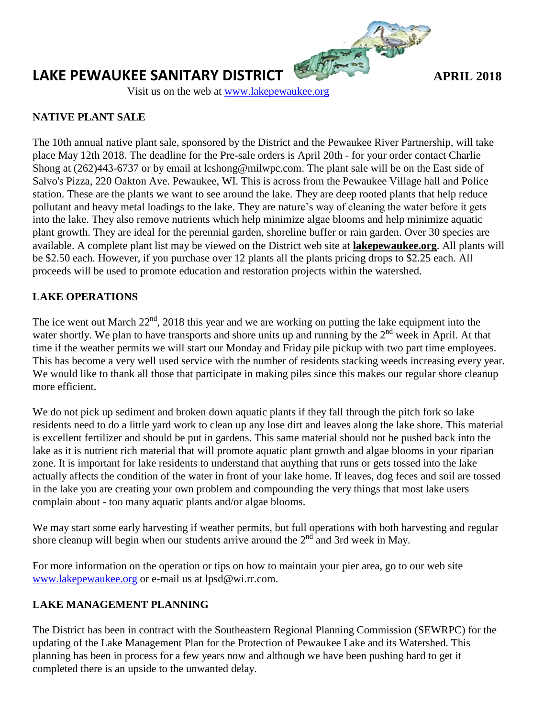

# **LAKE PEWAUKEE SANITARY DISTRICT** *APRIL 2018*

Visit us on the web at [www.lakepewaukee.org](http://www.lakepewaukee.org/)

## **NATIVE PLANT SALE**

The 10th annual native plant sale, sponsored by the District and the Pewaukee River Partnership, will take place May 12th 2018. The deadline for the Pre-sale orders is April 20th - for your order contact Charlie Shong at (262)443-6737 or by email at lcshong@milwpc.com. The plant sale will be on the East side of Salvo's Pizza, 220 Oakton Ave. Pewaukee, WI. This is across from the Pewaukee Village hall and Police station. These are the plants we want to see around the lake. They are deep rooted plants that help reduce pollutant and heavy metal loadings to the lake. They are nature's way of cleaning the water before it gets into the lake. They also remove nutrients which help minimize algae blooms and help minimize aquatic plant growth. They are ideal for the perennial garden, shoreline buffer or rain garden. Over 30 species are available. A complete plant list may be viewed on the District web site at **lakepewaukee.org**. All plants will be \$2.50 each. However, if you purchase over 12 plants all the plants pricing drops to \$2.25 each. All proceeds will be used to promote education and restoration projects within the watershed.

# **LAKE OPERATIONS**

The ice went out March  $22<sup>nd</sup>$ , 2018 this year and we are working on putting the lake equipment into the water shortly. We plan to have transports and shore units up and running by the  $2<sup>nd</sup>$  week in April. At that time if the weather permits we will start our Monday and Friday pile pickup with two part time employees. This has become a very well used service with the number of residents stacking weeds increasing every year. We would like to thank all those that participate in making piles since this makes our regular shore cleanup more efficient.

We do not pick up sediment and broken down aquatic plants if they fall through the pitch fork so lake residents need to do a little yard work to clean up any lose dirt and leaves along the lake shore. This material is excellent fertilizer and should be put in gardens. This same material should not be pushed back into the lake as it is nutrient rich material that will promote aquatic plant growth and algae blooms in your riparian zone. It is important for lake residents to understand that anything that runs or gets tossed into the lake actually affects the condition of the water in front of your lake home. If leaves, dog feces and soil are tossed in the lake you are creating your own problem and compounding the very things that most lake users complain about - too many aquatic plants and/or algae blooms.

We may start some early harvesting if weather permits, but full operations with both harvesting and regular shore cleanup will begin when our students arrive around the  $2<sup>nd</sup>$  and 3rd week in May.

For more information on the operation or tips on how to maintain your pier area, go to our web site [www.lakepewaukee.org](http://www.lakepewaukee.org/) or e-mail us at lpsd@wi.rr.com.

## **LAKE MANAGEMENT PLANNING**

The District has been in contract with the Southeastern Regional Planning Commission (SEWRPC) for the updating of the Lake Management Plan for the Protection of Pewaukee Lake and its Watershed. This planning has been in process for a few years now and although we have been pushing hard to get it completed there is an upside to the unwanted delay.